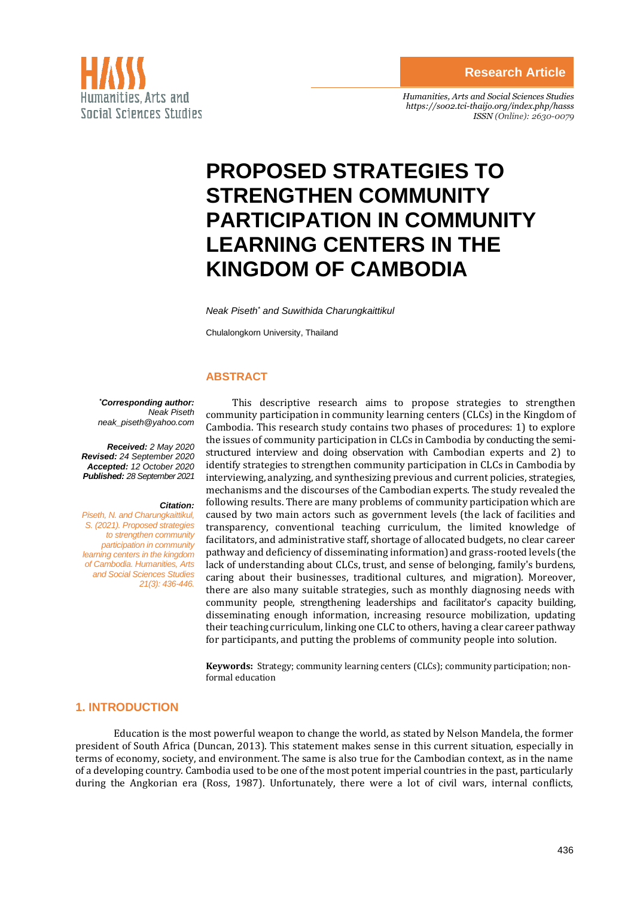

*Humanities, Arts and Social Sciences Studies <https://so02.tci-thaijo.org/index.php/hasss> ISSN (Online): 2630-0079*

# **PROPOSED STRATEGIES TO STRENGTHEN COMMUNITY PARTICIPATION IN COMMUNITY LEARNING CENTERS IN THE KINGDOM OF CAMBODIA**

*Neak Piseth\* and Suwithida Charungkaittikul*

Chulalongkorn University, Thailand

#### **ABSTRACT**

*\*Corresponding author: Neak Piseth neak\_piseth@yahoo.com*

*Received: 2 May 2020 Revised: 24 September 2020 Accepted: 12 October 2020 Published: 28 September 2021*

#### *Citation:*

*Piseth, N. and Charungkaittikul, S. (2021). Proposed strategies to strengthen community participation in community learning centers in the kingdom of Cambodia. Humanities, Arts and Social Sciences Studies 21(3): 436-446.*

This descriptive research aims to propose strategies to strengthen community participation in community learning centers (CLCs) in the Kingdom of Cambodia. This research study contains two phases of procedures: 1) to explore the issues of community participation in CLCs in Cambodia by conducting the semistructured interview and doing observation with Cambodian experts and 2) to identify strategies to strengthen community participation in CLCs in Cambodia by interviewing, analyzing, and synthesizing previous and current policies, strategies, mechanisms and the discourses of the Cambodian experts. The study revealed the following results. There are many problems of community participation which are caused by two main actors such as government levels (the lack of facilities and transparency, conventional teaching curriculum, the limited knowledge of facilitators, and administrative staff, shortage of allocated budgets, no clear career pathway and deficiency of disseminating information) and grass-rooted levels (the lack of understanding about CLCs, trust, and sense of belonging, family's burdens, caring about their businesses, traditional cultures, and migration). Moreover, there are also many suitable strategies, such as monthly diagnosing needs with community people, strengthening leaderships and facilitator's capacity building, disseminating enough information, increasing resource mobilization, updating their teaching curriculum, linking one CLC to others, having a clear career pathway for participants, and putting the problems of community people into solution.

**Keywords:** Strategy; community learning centers (CLCs); community participation; nonformal education

### **1. INTRODUCTION**

Education is the most powerful weapon to change the world, as stated by Nelson Mandela, the former president of South Africa (Duncan, 2013). This statement makes sense in this current situation, especially in terms of economy, society, and environment. The same is also true for the Cambodian context, as in the name of a developing country. Cambodia used to be one of the most potent imperial countries in the past, particularly during the Angkorian era (Ross, 1987). Unfortunately, there were a lot of civil wars, internal conflicts,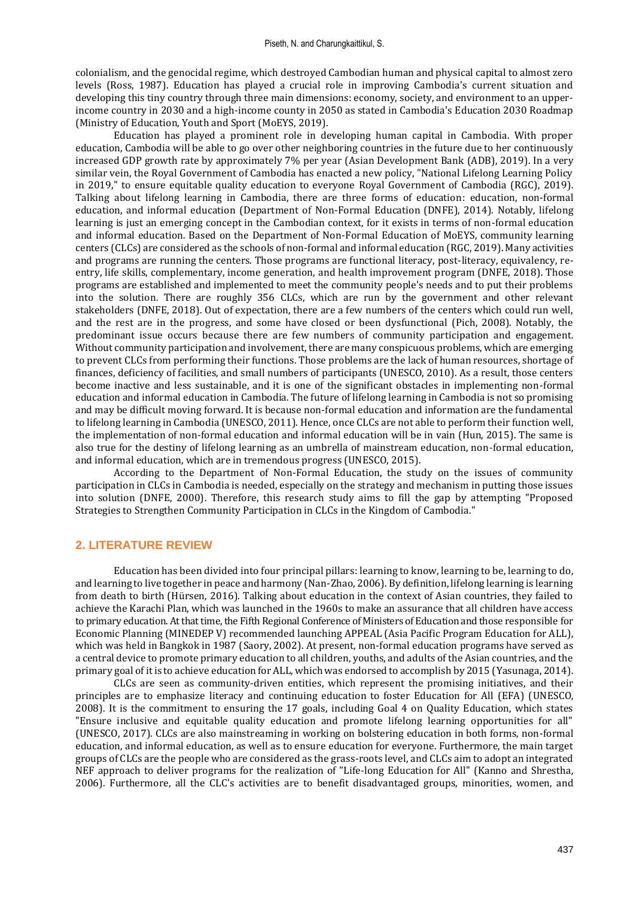colonialism, and the genocidal regime, which destroyed Cambodian human and physical capital to almost zero levels (Ross, 1987). Education has played a crucial role in improving Cambodia's current situation and developing this tiny country through three main dimensions: economy, society, and environment to an upperincome country in 2030 and a high-income county in 2050 as stated in Cambodia's Education 2030 Roadmap (Ministry of Education, Youth and Sport (MoEYS, 2019).

Education has played a prominent role in developing human capital in Cambodia. With proper education, Cambodia will be able to go over other neighboring countries in the future due to her continuously increased GDP growth rate by approximately 7% per year (Asian Development Bank (ADB), 2019). In a very similar vein, the Royal Government of Cambodia has enacted a new policy, "National Lifelong Learning Policy in 2019," to ensure equitable quality education to everyone Royal Government of Cambodia (RGC), 2019). Talking about lifelong learning in Cambodia, there are three forms of education: education, non-formal education, and informal education (Department of Non-Formal Education (DNFE), 2014). Notably, lifelong learning is just an emerging concept in the Cambodian context, for it exists in terms of non-formal education and informal education. Based on the Department of Non-Formal Education of MoEYS, community learning centers (CLCs) are considered as the schools of non-formal and informal education (RGC, 2019). Many activities and programs are running the centers. Those programs are functional literacy, post-literacy, equivalency, reentry, life skills, complementary, income generation, and health improvement program (DNFE, 2018). Those programs are established and implemented to meet the community people's needs and to put their problems into the solution. There are roughly 356 CLCs, which are run by the government and other relevant stakeholders (DNFE, 2018). Out of expectation, there are a few numbers of the centers which could run well, and the rest are in the progress, and some have closed or been dysfunctional (Pich, 2008). Notably, the predominant issue occurs because there are few numbers of community participation and engagement. Without community participation and involvement, there are many conspicuous problems, which are emerging to prevent CLCs from performing their functions. Those problems are the lack of human resources, shortage of finances, deficiency of facilities, and small numbers of participants (UNESCO, 2010). As a result, those centers become inactive and less sustainable, and it is one of the significant obstacles in implementing non-formal education and informal education in Cambodia. The future of lifelong learning in Cambodia is not so promising and may be difficult moving forward. It is because non-formal education and information are the fundamental to lifelong learning in Cambodia (UNESCO, 2011). Hence, once CLCs are not able to perform their function well, the implementation of non-formal education and informal education will be in vain (Hun, 2015). The same is also true for the destiny of lifelong learning as an umbrella of mainstream education, non-formal education, and informal education, which are in tremendous progress (UNESCO, 2015).

According to the Department of Non-Formal Education, the study on the issues of community participation in CLCs in Cambodia is needed, especially on the strategy and mechanism in putting those issues into solution (DNFE, 2000). Therefore, this research study aims to fill the gap by attempting "Proposed Strategies to Strengthen Community Participation in CLCs in the Kingdom of Cambodia."

# **2. LITERATURE REVIEW**

Education has been divided into four principal pillars: learning to know, learning to be, learning to do, and learning to live together in peace and harmony (Nan-Zhao, 2006). By definition, lifelong learning is learning from death to birth (Hürsen, 2016). Talking about education in the context of Asian countries, they failed to achieve the Karachi Plan, which was launched in the 1960s to make an assurance that all children have access to primary education. At that time, the Fifth Regional Conference of Ministers of Education and those responsible for Economic Planning (MINEDEP V) recommended launching APPEAL (Asia Pacific Program Education for ALL), which was held in Bangkok in 1987 (Saory, 2002). At present, non-formal education programs have served as a central device to promote primary education to all children, youths, and adults of the Asian countries, and the primary goal of it is to achieve education for ALL, which was endorsed to accomplish by 2015 (Yasunaga, 2014).

CLCs are seen as community-driven entities, which represent the promising initiatives, and their principles are to emphasize literacy and continuing education to foster Education for All (EFA) (UNESCO, 2008). It is the commitment to ensuring the 17 goals, including Goal 4 on Quality Education, which states "Ensure inclusive and equitable quality education and promote lifelong learning opportunities for all" (UNESCO, 2017). CLCs are also mainstreaming in working on bolstering education in both forms, non-formal education, and informal education, as well as to ensure education for everyone. Furthermore, the main target groups of CLCs are the people who are considered as the grass-roots level, and CLCs aim to adopt an integrated NEF approach to deliver programs for the realization of "Life-long Education for All" (Kanno and Shrestha, 2006). Furthermore, all the CLC's activities are to benefit disadvantaged groups, minorities, women, and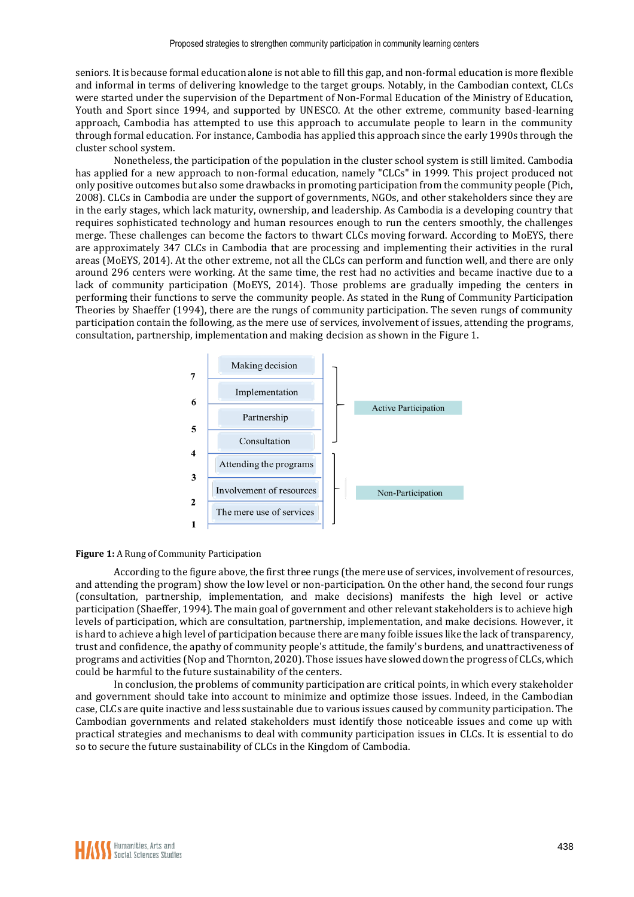seniors. It is because formal education alone is not able to fill this gap, and non-formal education is more flexible and informal in terms of delivering knowledge to the target groups. Notably, in the Cambodian context, CLCs were started under the supervision of the Department of Non-Formal Education of the Ministry of Education, Youth and Sport since 1994, and supported by UNESCO. At the other extreme, community based-learning approach, Cambodia has attempted to use this approach to accumulate people to learn in the community through formal education. For instance, Cambodia has applied this approach since the early 1990s through the cluster school system.

Nonetheless, the participation of the population in the cluster school system is still limited. Cambodia has applied for a new approach to non-formal education, namely "CLCs" in 1999. This project produced not only positive outcomes but also some drawbacks in promoting participation from the community people (Pich, 2008). CLCs in Cambodia are under the support of governments, NGOs, and other stakeholders since they are in the early stages, which lack maturity, ownership, and leadership. As Cambodia is a developing country that requires sophisticated technology and human resources enough to run the centers smoothly, the challenges merge. These challenges can become the factors to thwart CLCs moving forward. According to MoEYS, there are approximately 347 CLCs in Cambodia that are processing and implementing their activities in the rural areas (MoEYS, 2014). At the other extreme, not all the CLCs can perform and function well, and there are only around 296 centers were working. At the same time, the rest had no activities and became inactive due to a lack of community participation (MoEYS, 2014). Those problems are gradually impeding the centers in performing their functions to serve the community people. As stated in the Rung of Community Participation Theories by Shaeffer (1994), there are the rungs of community participation. The seven rungs of community participation contain the following, as the mere use of services, involvement of issues, attending the programs, consultation, partnership, implementation and making decision as shown in the Figure 1.



#### **Figure 1:** A Rung of Community Participation

According to the figure above, the first three rungs (the mere use of services, involvement of resources, and attending the program) show the low level or non-participation. On the other hand, the second four rungs (consultation, partnership, implementation, and make decisions) manifests the high level or active participation (Shaeffer, 1994). The main goal of government and other relevant stakeholders is to achieve high levels of participation, which are consultation, partnership, implementation, and make decisions. However, it is hard to achieve a high level of participation because there are many foible issues like the lack of transparency, trust and confidence, the apathy of community people's attitude, the family's burdens, and unattractiveness of programs and activities (Nop and Thornton, 2020). Those issues have slowed down the progress of CLCs, which could be harmful to the future sustainability of the centers.

In conclusion, the problems of community participation are critical points, in which every stakeholder and government should take into account to minimize and optimize those issues. Indeed, in the Cambodian case, CLCs are quite inactive and less sustainable due to various issues caused by community participation. The Cambodian governments and related stakeholders must identify those noticeable issues and come up with practical strategies and mechanisms to deal with community participation issues in CLCs. It is essential to do so to secure the future sustainability of CLCs in the Kingdom of Cambodia.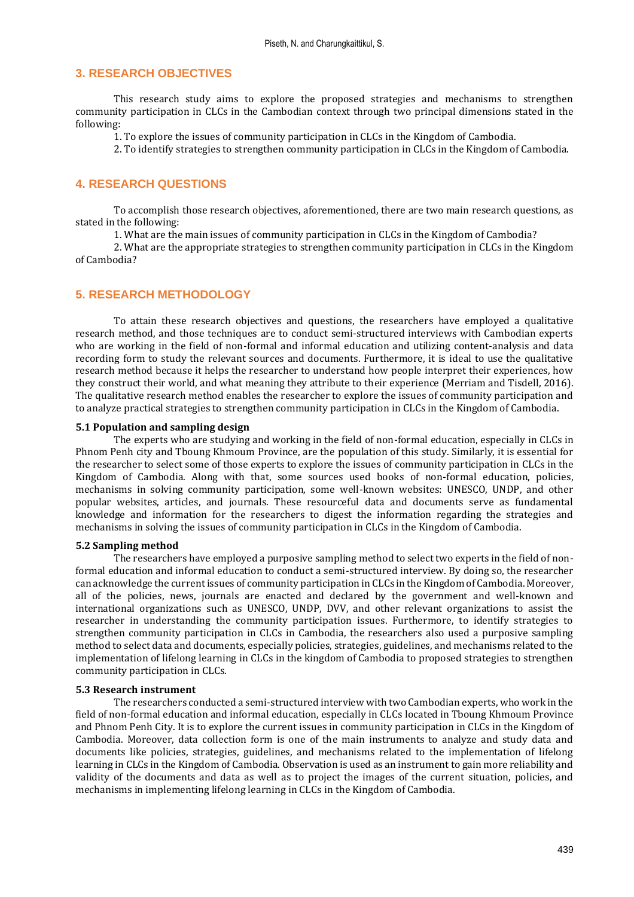## **3. RESEARCH OBJECTIVES**

This research study aims to explore the proposed strategies and mechanisms to strengthen community participation in CLCs in the Cambodian context through two principal dimensions stated in the following:

1. To explore the issues of community participation in CLCs in the Kingdom of Cambodia.

2. To identify strategies to strengthen community participation in CLCs in the Kingdom of Cambodia.

# **4. RESEARCH QUESTIONS**

To accomplish those research objectives, aforementioned, there are two main research questions, as stated in the following:

1. What are the main issues of community participation in CLCs in the Kingdom of Cambodia?

2. What are the appropriate strategies to strengthen community participation in CLCs in the Kingdom of Cambodia?

## **5. RESEARCH METHODOLOGY**

To attain these research objectives and questions, the researchers have employed a qualitative research method, and those techniques are to conduct semi-structured interviews with Cambodian experts who are working in the field of non-formal and informal education and utilizing content-analysis and data recording form to study the relevant sources and documents. Furthermore, it is ideal to use the qualitative research method because it helps the researcher to understand how people interpret their experiences, how they construct their world, and what meaning they attribute to their experience (Merriam and Tisdell, 2016). The qualitative research method enables the researcher to explore the issues of community participation and to analyze practical strategies to strengthen community participation in CLCs in the Kingdom of Cambodia.

## **5.1 Population and sampling design**

The experts who are studying and working in the field of non-formal education, especially in CLCs in Phnom Penh city and Tboung Khmoum Province, are the population of this study. Similarly, it is essential for the researcher to select some of those experts to explore the issues of community participation in CLCs in the Kingdom of Cambodia. Along with that, some sources used books of non-formal education, policies, mechanisms in solving community participation, some well-known websites: UNESCO, UNDP, and other popular websites, articles, and journals. These resourceful data and documents serve as fundamental knowledge and information for the researchers to digest the information regarding the strategies and mechanisms in solving the issues of community participation in CLCs in the Kingdom of Cambodia.

#### **5.2 Sampling method**

The researchers have employed a purposive sampling method to select two experts in the field of nonformal education and informal education to conduct a semi-structured interview. By doing so, the researcher can acknowledge the current issues of community participation in CLCs in the Kingdom of Cambodia. Moreover, all of the policies, news, journals are enacted and declared by the government and well-known and international organizations such as UNESCO, UNDP, DVV, and other relevant organizations to assist the researcher in understanding the community participation issues. Furthermore, to identify strategies to strengthen community participation in CLCs in Cambodia, the researchers also used a purposive sampling method to select data and documents, especially policies, strategies, guidelines, and mechanisms related to the implementation of lifelong learning in CLCs in the kingdom of Cambodia to proposed strategies to strengthen community participation in CLCs.

#### **5.3 Research instrument**

The researchers conducted a semi-structured interview with two Cambodian experts, who work in the field of non-formal education and informal education, especially in CLCs located in Tboung Khmoum Province and Phnom Penh City. It is to explore the current issues in community participation in CLCs in the Kingdom of Cambodia. Moreover, data collection form is one of the main instruments to analyze and study data and documents like policies, strategies, guidelines, and mechanisms related to the implementation of lifelong learning in CLCs in the Kingdom of Cambodia. Observation is used as an instrument to gain more reliability and validity of the documents and data as well as to project the images of the current situation, policies, and mechanisms in implementing lifelong learning in CLCs in the Kingdom of Cambodia.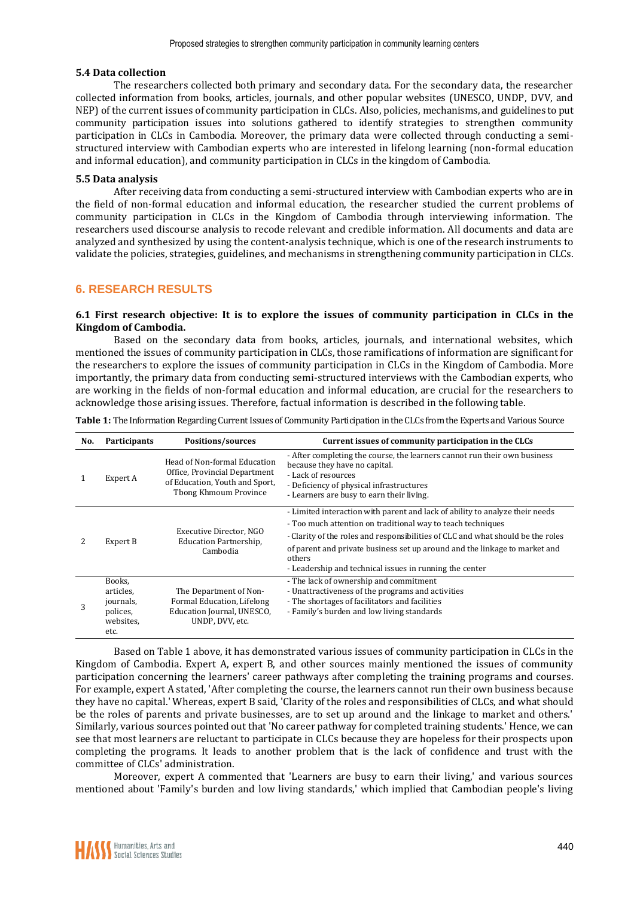#### **5.4 Data collection**

The researchers collected both primary and secondary data. For the secondary data, the researcher collected information from books, articles, journals, and other popular websites (UNESCO, UNDP, DVV, and NEP) of the current issues of community participation in CLCs. Also, policies, mechanisms, and guidelines to put community participation issues into solutions gathered to identify strategies to strengthen community participation in CLCs in Cambodia. Moreover, the primary data were collected through conducting a semistructured interview with Cambodian experts who are interested in lifelong learning (non-formal education and informal education), and community participation in CLCs in the kingdom of Cambodia.

#### **5.5 Data analysis**

After receiving data from conducting a semi-structured interview with Cambodian experts who are in the field of non-formal education and informal education, the researcher studied the current problems of community participation in CLCs in the Kingdom of Cambodia through interviewing information. The researchers used discourse analysis to recode relevant and credible information. All documents and data are analyzed and synthesized by using the content-analysis technique, which is one of the research instruments to validate the policies, strategies, guidelines, and mechanisms in strengthening community participation in CLCs.

# **6. RESEARCH RESULTS**

#### **6.1 First research objective: It is to explore the issues of community participation in CLCs in the Kingdom of Cambodia.**

Based on the secondary data from books, articles, journals, and international websites, which mentioned the issues of community participation in CLCs, those ramifications of information are significant for the researchers to explore the issues of community participation in CLCs in the Kingdom of Cambodia. More importantly, the primary data from conducting semi-structured interviews with the Cambodian experts, who are working in the fields of non-formal education and informal education, are crucial for the researchers to acknowledge those arising issues. Therefore, factual information is described in the following table.

| No. | Participants                                                      | Positions/sources                                                                                                        | Current issues of community participation in the CLCs                                                                                                                                                                                                                                                                                                                             |  |  |
|-----|-------------------------------------------------------------------|--------------------------------------------------------------------------------------------------------------------------|-----------------------------------------------------------------------------------------------------------------------------------------------------------------------------------------------------------------------------------------------------------------------------------------------------------------------------------------------------------------------------------|--|--|
|     | Expert A                                                          | Head of Non-formal Education<br>Office, Provincial Department<br>of Education, Youth and Sport,<br>Tbong Khmoum Province | - After completing the course, the learners cannot run their own business<br>because they have no capital.<br>- Lack of resources<br>- Deficiency of physical infrastructures<br>- Learners are busy to earn their living.                                                                                                                                                        |  |  |
|     | Expert B                                                          | Executive Director, NGO<br>Education Partnership,<br>Cambodia                                                            | - Limited interaction with parent and lack of ability to analyze their needs<br>- Too much attention on traditional way to teach techniques<br>- Clarity of the roles and responsibilities of CLC and what should be the roles<br>of parent and private business set up around and the linkage to market and<br>others<br>- Leadership and technical issues in running the center |  |  |
| 3   | Books,<br>articles,<br>journals,<br>polices,<br>websites.<br>etc. | The Department of Non-<br>Formal Education, Lifelong<br>Education Journal, UNESCO,<br>UNDP, DVV, etc.                    | - The lack of ownership and commitment<br>- Unattractiveness of the programs and activities<br>- The shortages of facilitators and facilities<br>- Family's burden and low living standards                                                                                                                                                                                       |  |  |

**Table 1:** The Information Regarding Current Issues of Community Participation in the CLCs from the Experts and Various Source

Based on Table 1 above, it has demonstrated various issues of community participation in CLCs in the Kingdom of Cambodia. Expert A, expert B, and other sources mainly mentioned the issues of community participation concerning the learners' career pathways after completing the training programs and courses. For example, expert A stated, 'After completing the course, the learners cannot run their own business because they have no capital.' Whereas, expert B said, 'Clarity of the roles and responsibilities of CLCs, and what should be the roles of parents and private businesses, are to set up around and the linkage to market and others.' Similarly, various sources pointed out that 'No career pathway for completed training students.' Hence, we can see that most learners are reluctant to participate in CLCs because they are hopeless for their prospects upon completing the programs. It leads to another problem that is the lack of confidence and trust with the committee of CLCs' administration.

Moreover, expert A commented that 'Learners are busy to earn their living,' and various sources mentioned about 'Family's burden and low living standards,' which implied that Cambodian people's living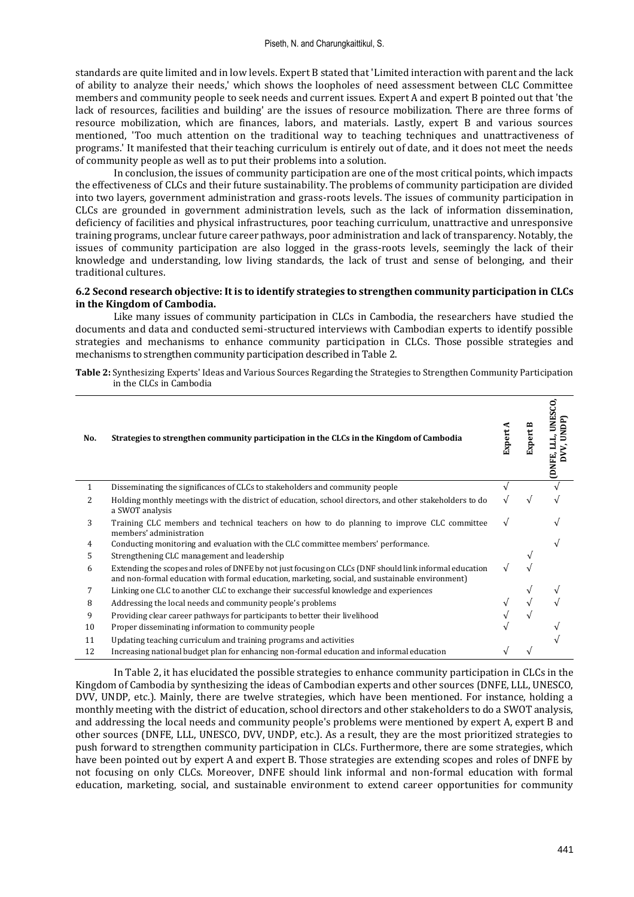standards are quite limited and in low levels. Expert B stated that 'Limited interaction with parent and the lack of ability to analyze their needs,' which shows the loopholes of need assessment between CLC Committee members and community people to seek needs and current issues. Expert A and expert B pointed out that 'the lack of resources, facilities and building' are the issues of resource mobilization. There are three forms of resource mobilization, which are finances, labors, and materials. Lastly, expert B and various sources mentioned, 'Too much attention on the traditional way to teaching techniques and unattractiveness of programs.' It manifested that their teaching curriculum is entirely out of date, and it does not meet the needs of community people as well as to put their problems into a solution.

In conclusion, the issues of community participation are one of the most critical points, which impacts the effectiveness of CLCs and their future sustainability. The problems of community participation are divided into two layers, government administration and grass-roots levels. The issues of community participation in CLCs are grounded in government administration levels, such as the lack of information dissemination, deficiency of facilities and physical infrastructures, poor teaching curriculum, unattractive and unresponsive training programs, unclear future career pathways, poor administration and lack of transparency. Notably, the issues of community participation are also logged in the grass-roots levels, seemingly the lack of their knowledge and understanding, low living standards, the lack of trust and sense of belonging, and their traditional cultures.

#### **6.2 Second research objective: It is to identify strategies to strengthen community participation in CLCs in the Kingdom of Cambodia.**

Like many issues of community participation in CLCs in Cambodia, the researchers have studied the documents and data and conducted semi-structured interviews with Cambodian experts to identify possible strategies and mechanisms to enhance community participation in CLCs. Those possible strategies and mechanisms to strengthen community participation described in Table 2.

**Table 2:** Synthesizing Experts' Ideas and Various Sources Regarding the Strategies to Strengthen Community Participation in the CLCs in Cambodia

| No.          | Strategies to strengthen community participation in the CLCs in the Kingdom of Cambodia                                                                                                                    | Expert | <b>Expert</b> | g<br><b>UNES</b><br>UNDP)<br>(DNFE |
|--------------|------------------------------------------------------------------------------------------------------------------------------------------------------------------------------------------------------------|--------|---------------|------------------------------------|
| $\mathbf{1}$ | Disseminating the significances of CLCs to stakeholders and community people                                                                                                                               |        |               |                                    |
| 2            | Holding monthly meetings with the district of education, school directors, and other stakeholders to do<br>a SWOT analysis                                                                                 |        | N             |                                    |
| 3            | Training CLC members and technical teachers on how to do planning to improve CLC committee<br>members' administration                                                                                      | V      |               |                                    |
| 4            | Conducting monitoring and evaluation with the CLC committee members' performance.                                                                                                                          |        |               |                                    |
| 5            | Strengthening CLC management and leadership                                                                                                                                                                |        |               |                                    |
| 6            | Extending the scopes and roles of DNFE by not just focusing on CLCs (DNF should link informal education<br>and non-formal education with formal education, marketing, social, and sustainable environment) |        |               |                                    |
| 7            | Linking one CLC to another CLC to exchange their successful knowledge and experiences                                                                                                                      |        |               |                                    |
| 8            | Addressing the local needs and community people's problems                                                                                                                                                 |        |               |                                    |
| 9            | Providing clear career pathways for participants to better their livelihood                                                                                                                                |        |               |                                    |
| 10           | Proper disseminating information to community people                                                                                                                                                       |        |               |                                    |
| 11           | Updating teaching curriculum and training programs and activities                                                                                                                                          |        |               |                                    |
| 12           | Increasing national budget plan for enhancing non-formal education and informal education                                                                                                                  |        |               |                                    |

In Table 2, it has elucidated the possible strategies to enhance community participation in CLCs in the Kingdom of Cambodia by synthesizing the ideas of Cambodian experts and other sources (DNFE, LLL, UNESCO, DVV, UNDP, etc.). Mainly, there are twelve strategies, which have been mentioned. For instance, holding a monthly meeting with the district of education, school directors and other stakeholders to do a SWOT analysis, and addressing the local needs and community people's problems were mentioned by expert A, expert B and other sources (DNFE, LLL, UNESCO, DVV, UNDP, etc.). As a result, they are the most prioritized strategies to push forward to strengthen community participation in CLCs. Furthermore, there are some strategies, which have been pointed out by expert A and expert B. Those strategies are extending scopes and roles of DNFE by not focusing on only CLCs. Moreover, DNFE should link informal and non-formal education with formal education, marketing, social, and sustainable environment to extend career opportunities for community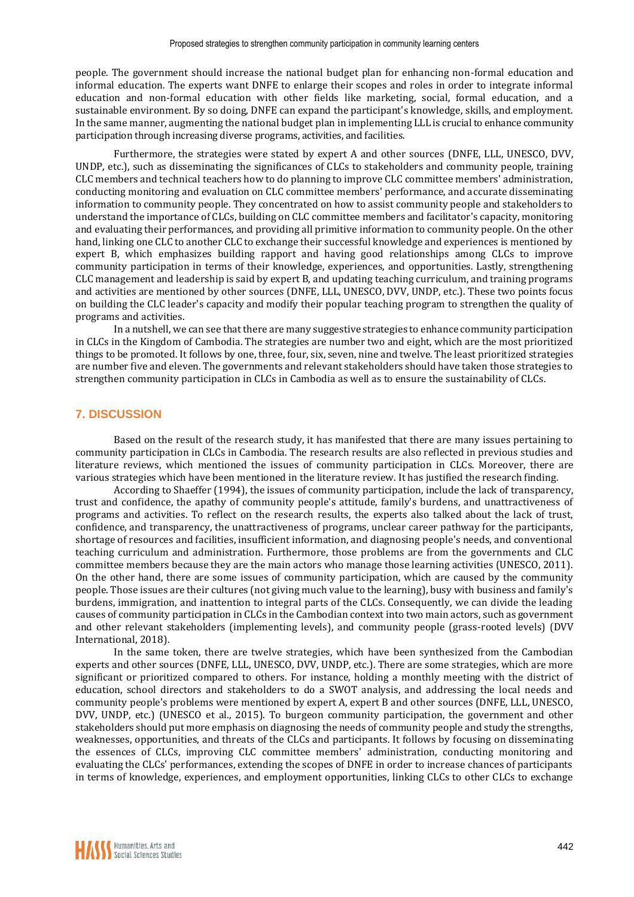people. The government should increase the national budget plan for enhancing non-formal education and informal education. The experts want DNFE to enlarge their scopes and roles in order to integrate informal education and non-formal education with other fields like marketing, social, formal education, and a sustainable environment. By so doing, DNFE can expand the participant's knowledge, skills, and employment. In the same manner, augmenting the national budget plan in implementing LLL is crucial to enhance community participation through increasing diverse programs, activities, and facilities.

Furthermore, the strategies were stated by expert A and other sources (DNFE, LLL, UNESCO, DVV, UNDP, etc.), such as disseminating the significances of CLCs to stakeholders and community people, training CLC members and technical teachers how to do planning to improve CLC committee members' administration, conducting monitoring and evaluation on CLC committee members' performance, and accurate disseminating information to community people. They concentrated on how to assist community people and stakeholders to understand the importance of CLCs, building on CLC committee members and facilitator's capacity, monitoring and evaluating their performances, and providing all primitive information to community people. On the other hand, linking one CLC to another CLC to exchange their successful knowledge and experiences is mentioned by expert B, which emphasizes building rapport and having good relationships among CLCs to improve community participation in terms of their knowledge, experiences, and opportunities. Lastly, strengthening CLC management and leadership is said by expert B, and updating teaching curriculum, and training programs and activities are mentioned by other sources (DNFE, LLL, UNESCO, DVV, UNDP, etc.). These two points focus on building the CLC leader's capacity and modify their popular teaching program to strengthen the quality of programs and activities.

In a nutshell, we can see that there are many suggestive strategies to enhance community participation in CLCs in the Kingdom of Cambodia. The strategies are number two and eight, which are the most prioritized things to be promoted. It follows by one, three, four, six, seven, nine and twelve. The least prioritized strategies are number five and eleven. The governments and relevant stakeholders should have taken those strategies to strengthen community participation in CLCs in Cambodia as well as to ensure the sustainability of CLCs.

# **7. DISCUSSION**

Based on the result of the research study, it has manifested that there are many issues pertaining to community participation in CLCs in Cambodia. The research results are also reflected in previous studies and literature reviews, which mentioned the issues of community participation in CLCs. Moreover, there are various strategies which have been mentioned in the literature review. It has justified the research finding.

According to Shaeffer (1994), the issues of community participation, include the lack of transparency, trust and confidence, the apathy of community people's attitude, family's burdens, and unattractiveness of programs and activities. To reflect on the research results, the experts also talked about the lack of trust, confidence, and transparency, the unattractiveness of programs, unclear career pathway for the participants, shortage of resources and facilities, insufficient information, and diagnosing people's needs, and conventional teaching curriculum and administration. Furthermore, those problems are from the governments and CLC committee members because they are the main actors who manage those learning activities (UNESCO, 2011). On the other hand, there are some issues of community participation, which are caused by the community people. Those issues are their cultures (not giving much value to the learning), busy with business and family's burdens, immigration, and inattention to integral parts of the CLCs. Consequently, we can divide the leading causes of community participation in CLCs in the Cambodian context into two main actors, such as government and other relevant stakeholders (implementing levels), and community people (grass-rooted levels) (DVV International, 2018).

In the same token, there are twelve strategies, which have been synthesized from the Cambodian experts and other sources (DNFE, LLL, UNESCO, DVV, UNDP, etc.). There are some strategies, which are more significant or prioritized compared to others. For instance, holding a monthly meeting with the district of education, school directors and stakeholders to do a SWOT analysis, and addressing the local needs and community people's problems were mentioned by expert A, expert B and other sources (DNFE, LLL, UNESCO, DVV, UNDP, etc.) (UNESCO et al., 2015). To burgeon community participation, the government and other stakeholders should put more emphasis on diagnosing the needs of community people and study the strengths, weaknesses, opportunities, and threats of the CLCs and participants. It follows by focusing on disseminating the essences of CLCs, improving CLC committee members' administration, conducting monitoring and evaluating the CLCs' performances, extending the scopes of DNFE in order to increase chances of participants in terms of knowledge, experiences, and employment opportunities, linking CLCs to other CLCs to exchange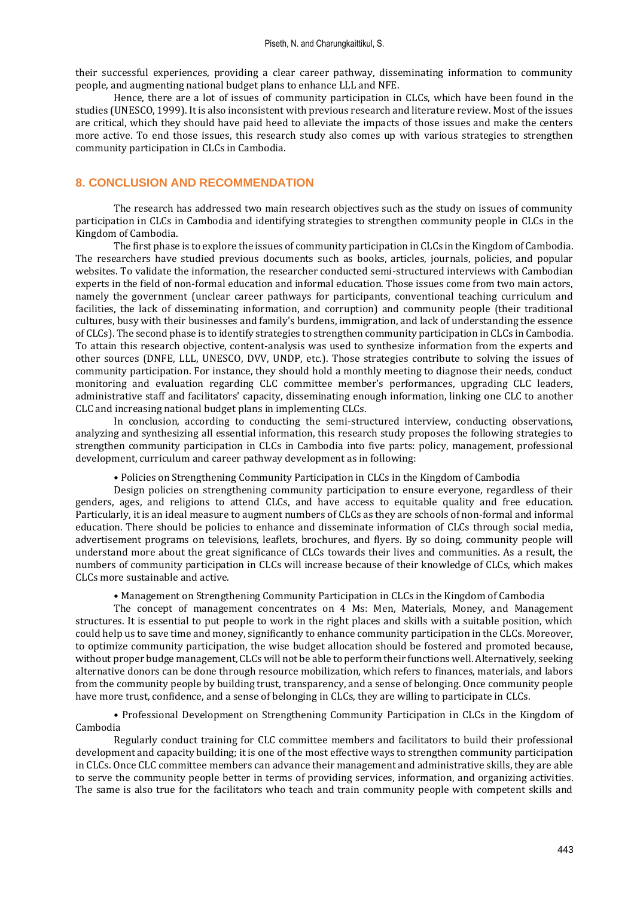their successful experiences, providing a clear career pathway, disseminating information to community people, and augmenting national budget plans to enhance LLL and NFE.

Hence, there are a lot of issues of community participation in CLCs, which have been found in the studies (UNESCO, 1999). It is also inconsistent with previous research and literature review. Most of the issues are critical, which they should have paid heed to alleviate the impacts of those issues and make the centers more active. To end those issues, this research study also comes up with various strategies to strengthen community participation in CLCs in Cambodia.

# **8. CONCLUSION AND RECOMMENDATION**

The research has addressed two main research objectives such as the study on issues of community participation in CLCs in Cambodia and identifying strategies to strengthen community people in CLCs in the Kingdom of Cambodia.

The first phase is to explore the issues of community participation in CLCs in the Kingdom of Cambodia. The researchers have studied previous documents such as books, articles, journals, policies, and popular websites. To validate the information, the researcher conducted semi-structured interviews with Cambodian experts in the field of non-formal education and informal education. Those issues come from two main actors, namely the government (unclear career pathways for participants, conventional teaching curriculum and facilities, the lack of disseminating information, and corruption) and community people (their traditional cultures, busy with their businesses and family's burdens, immigration, and lack of understanding the essence of CLCs). The second phase is to identify strategies to strengthen community participation in CLCs in Cambodia. To attain this research objective, content-analysis was used to synthesize information from the experts and other sources (DNFE, LLL, UNESCO, DVV, UNDP, etc.). Those strategies contribute to solving the issues of community participation. For instance, they should hold a monthly meeting to diagnose their needs, conduct monitoring and evaluation regarding CLC committee member's performances, upgrading CLC leaders, administrative staff and facilitators' capacity, disseminating enough information, linking one CLC to another CLC and increasing national budget plans in implementing CLCs.

In conclusion, according to conducting the semi-structured interview, conducting observations, analyzing and synthesizing all essential information, this research study proposes the following strategies to strengthen community participation in CLCs in Cambodia into five parts: policy, management, professional development, curriculum and career pathway development as in following:

• Policies on Strengthening Community Participation in CLCs in the Kingdom of Cambodia

Design policies on strengthening community participation to ensure everyone, regardless of their genders, ages, and religions to attend CLCs, and have access to equitable quality and free education. Particularly, it is an ideal measure to augment numbers of CLCs as they are schools of non-formal and informal education. There should be policies to enhance and disseminate information of CLCs through social media, advertisement programs on televisions, leaflets, brochures, and flyers. By so doing, community people will understand more about the great significance of CLCs towards their lives and communities. As a result, the numbers of community participation in CLCs will increase because of their knowledge of CLCs, which makes CLCs more sustainable and active.

• Management on Strengthening Community Participation in CLCs in the Kingdom of Cambodia

The concept of management concentrates on 4 Ms: Men, Materials, Money, and Management structures. It is essential to put people to work in the right places and skills with a suitable position, which could help us to save time and money, significantly to enhance community participation in the CLCs. Moreover, to optimize community participation, the wise budget allocation should be fostered and promoted because, without proper budge management, CLCs will not be able to perform their functions well. Alternatively, seeking alternative donors can be done through resource mobilization, which refers to finances, materials, and labors from the community people by building trust, transparency, and a sense of belonging. Once community people have more trust, confidence, and a sense of belonging in CLCs, they are willing to participate in CLCs.

• Professional Development on Strengthening Community Participation in CLCs in the Kingdom of Cambodia

Regularly conduct training for CLC committee members and facilitators to build their professional development and capacity building; it is one of the most effective ways to strengthen community participation in CLCs. Once CLC committee members can advance their management and administrative skills, they are able to serve the community people better in terms of providing services, information, and organizing activities. The same is also true for the facilitators who teach and train community people with competent skills and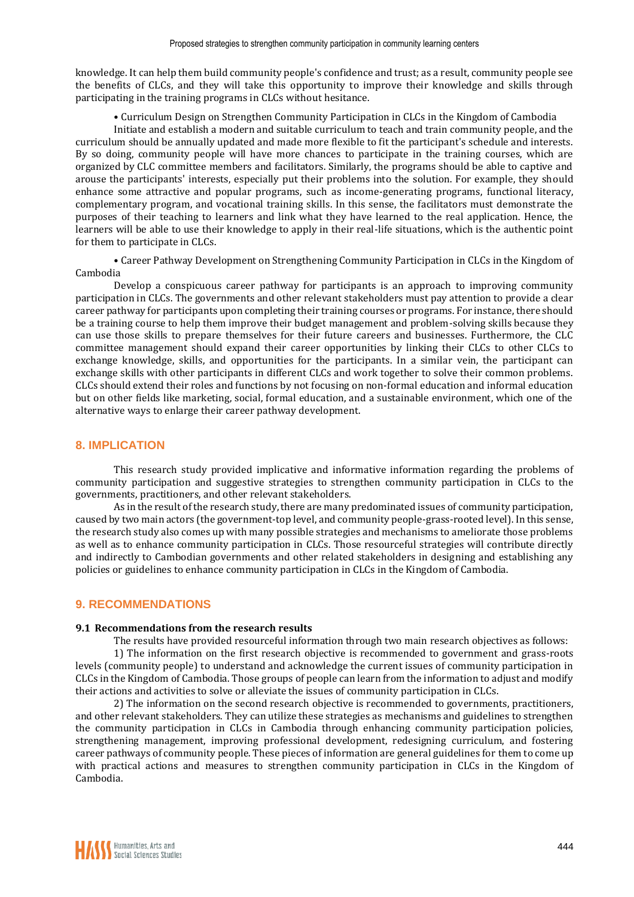knowledge. It can help them build community people's confidence and trust; as a result, community people see the benefits of CLCs, and they will take this opportunity to improve their knowledge and skills through participating in the training programs in CLCs without hesitance.

• Curriculum Design on Strengthen Community Participation in CLCs in the Kingdom of Cambodia

Initiate and establish a modern and suitable curriculum to teach and train community people, and the curriculum should be annually updated and made more flexible to fit the participant's schedule and interests. By so doing, community people will have more chances to participate in the training courses, which are organized by CLC committee members and facilitators. Similarly, the programs should be able to captive and arouse the participants' interests, especially put their problems into the solution. For example, they should enhance some attractive and popular programs, such as income-generating programs, functional literacy, complementary program, and vocational training skills. In this sense, the facilitators must demonstrate the purposes of their teaching to learners and link what they have learned to the real application. Hence, the learners will be able to use their knowledge to apply in their real-life situations, which is the authentic point for them to participate in CLCs.

• Career Pathway Development on Strengthening Community Participation in CLCs in the Kingdom of Cambodia

Develop a conspicuous career pathway for participants is an approach to improving community participation in CLCs. The governments and other relevant stakeholders must pay attention to provide a clear career pathway for participants upon completing their training courses or programs. For instance, there should be a training course to help them improve their budget management and problem-solving skills because they can use those skills to prepare themselves for their future careers and businesses. Furthermore, the CLC committee management should expand their career opportunities by linking their CLCs to other CLCs to exchange knowledge, skills, and opportunities for the participants. In a similar vein, the participant can exchange skills with other participants in different CLCs and work together to solve their common problems. CLCs should extend their roles and functions by not focusing on non-formal education and informal education but on other fields like marketing, social, formal education, and a sustainable environment, which one of the alternative ways to enlarge their career pathway development.

### **8. IMPLICATION**

This research study provided implicative and informative information regarding the problems of community participation and suggestive strategies to strengthen community participation in CLCs to the governments, practitioners, and other relevant stakeholders.

As in the result of the research study, there are many predominated issues of community participation, caused by two main actors (the government-top level, and community people-grass-rooted level). In this sense, the research study also comes up with many possible strategies and mechanisms to ameliorate those problems as well as to enhance community participation in CLCs. Those resourceful strategies will contribute directly and indirectly to Cambodian governments and other related stakeholders in designing and establishing any policies or guidelines to enhance community participation in CLCs in the Kingdom of Cambodia.

### **9. RECOMMENDATIONS**

#### **9.1 Recommendations from the research results**

The results have provided resourceful information through two main research objectives as follows:

1) The information on the first research objective is recommended to government and grass-roots levels (community people) to understand and acknowledge the current issues of community participation in CLCs in the Kingdom of Cambodia. Those groups of people can learn from the information to adjust and modify their actions and activities to solve or alleviate the issues of community participation in CLCs.

2) The information on the second research objective is recommended to governments, practitioners, and other relevant stakeholders. They can utilize these strategies as mechanisms and guidelines to strengthen the community participation in CLCs in Cambodia through enhancing community participation policies, strengthening management, improving professional development, redesigning curriculum, and fostering career pathways of community people. These pieces of information are general guidelines for them to come up with practical actions and measures to strengthen community participation in CLCs in the Kingdom of Cambodia.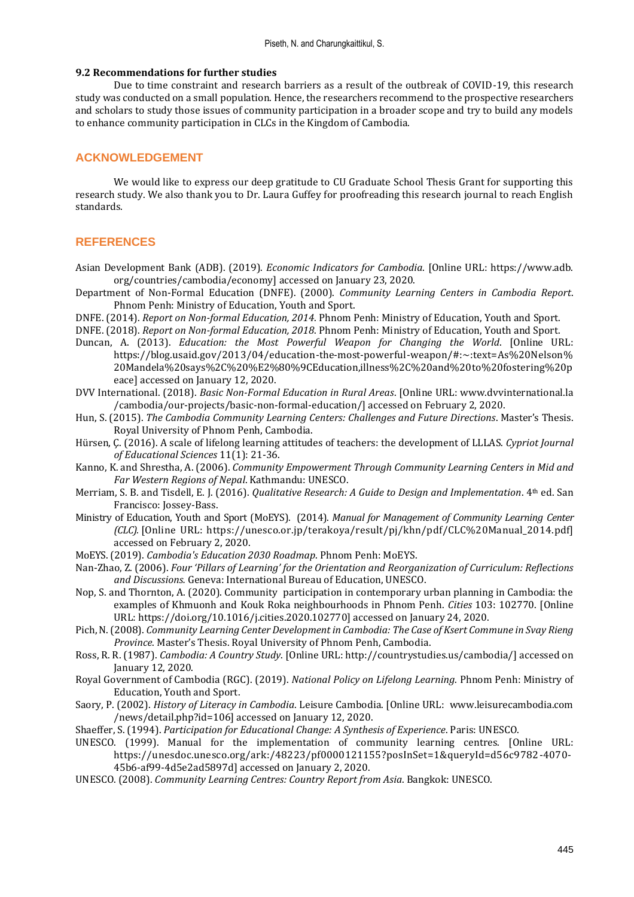#### **9.2 Recommendations for further studies**

Due to time constraint and research barriers as a result of the outbreak of COVID-19, this research study was conducted on a small population. Hence, the researchers recommend to the prospective researchers and scholars to study those issues of community participation in a broader scope and try to build any models to enhance community participation in CLCs in the Kingdom of Cambodia.

## **ACKNOWLEDGEMENT**

We would like to express our deep gratitude to CU Graduate School Thesis Grant for supporting this research study. We also thank you to Dr. Laura Guffey for proofreading this research journal to reach English standards.

# **REFERENCES**

- Asian Development Bank (ADB). (2019). *Economic Indicators for Cambodia*. [Online URL: https://www.adb. org/countries/cambodia/economy] accessed on January 23, 2020.
- Department of Non-Formal Education (DNFE). (2000). *Community Learning Centers in Cambodia Report*. Phnom Penh: Ministry of Education, Youth and Sport.
- DNFE. (2014). *Report on Non-formal Education, 2014*. Phnom Penh: Ministry of Education, Youth and Sport.
- DNFE. (2018). *Report on Non-formal Education, 2018*. Phnom Penh: Ministry of Education, Youth and Sport.
- Duncan, A. (2013). *Education: the Most Powerful Weapon for Changing the World*. [Online URL: https://blog.usaid.gov/2013/04/education-the-most-powerful-weapon/#:~:text=As%20Nelson% 20Mandela%20says%2C%20%E2%80%9CEducation,illness%2C%20and%20to%20fostering%20p eace] accessed on January 12, 2020.
- DVV International. (2018). *Basic Non-Formal Education in Rural Areas*. [Online URL: www.dvvinternational.la /cambodia/our-projects/basic-non-formal-education/] accessed on February 2, 2020.
- Hun, S. (2015). *The Cambodia Community Learning Centers: Challenges and Future Directions*. Master's Thesis. Royal University of Phnom Penh, Cambodia.
- Hürsen, Ç. (2016). A scale of lifelong learning attitudes of teachers: the development of LLLAS. *Cypriot Journal of Educational Sciences* 11(1): 21-36.
- Kanno, K. and Shrestha, A. (2006). *Community Empowerment Through Community Learning Centers in Mid and Far Western Regions of Nepal*. Kathmandu: UNESCO.
- Merriam, S. B. and Tisdell, E. J. (2016). *Qualitative Research: A Guide to Design and Implementation*. 4th ed. San Francisco: Jossey-Bass.
- Ministry of Education, Youth and Sport (MoEYS). (2014). *Manual for Management of Community Learning Center (CLC).* [Online URL: https://unesco.or.jp/terakoya/result/pj/khn/pdf/CLC%20Manual\_2014.pdf] accessed on February 2, 2020.
- MoEYS. (2019). *Cambodia's Education 2030 Roadmap*. Phnom Penh: MoEYS.
- Nan-Zhao, Z. (2006). *Four 'Pillars of Learning' for the Orientation and Reorganization of Curriculum: Reflections and Discussions.* Geneva: International Bureau of Education, UNESCO.
- Nop, S. and Thornton, A. (2020). Community participation in contemporary urban planning in Cambodia: the examples of Khmuonh and Kouk Roka neighbourhoods in Phnom Penh. *Cities* 103: 102770. [Online URL: https://doi.org/10.1016/j.cities.2020.102770] accessed on January 24, 2020.
- Pich, N. (2008). *Community Learning Center Development in Cambodia: The Case of Ksert Commune in Svay Rieng Province*. Master's Thesis. Royal University of Phnom Penh, Cambodia.
- Ross, R. R. (1987). *Cambodia: A Country Study*. [Online URL: http://countrystudies.us/cambodia/] accessed on January 12, 2020.
- Royal Government of Cambodia (RGC). (2019). *National Policy on Lifelong Learning*. Phnom Penh: Ministry of Education, Youth and Sport.
- Saory, P. (2002). *History of Literacy in Cambodia*. Leisure Cambodia. [Online URL: www.leisurecambodia.com /news/detail.php?id=106] accessed on January 12, 2020.
- Shaeffer, S. (1994). *Participation for Educational Change: A Synthesis of Experience*. Paris: UNESCO.
- UNESCO. (1999). Manual for the implementation of community learning centres. [Online URL: https://unesdoc.unesco.org/ark:/48223/pf0000121155?posInSet=1&queryId=d56c9782-4070- 45b6-af99-4d5e2ad5897d] accessed on January 2, 2020.
- UNESCO. (2008). *Community Learning Centres: Country Report from Asia*. Bangkok: UNESCO.